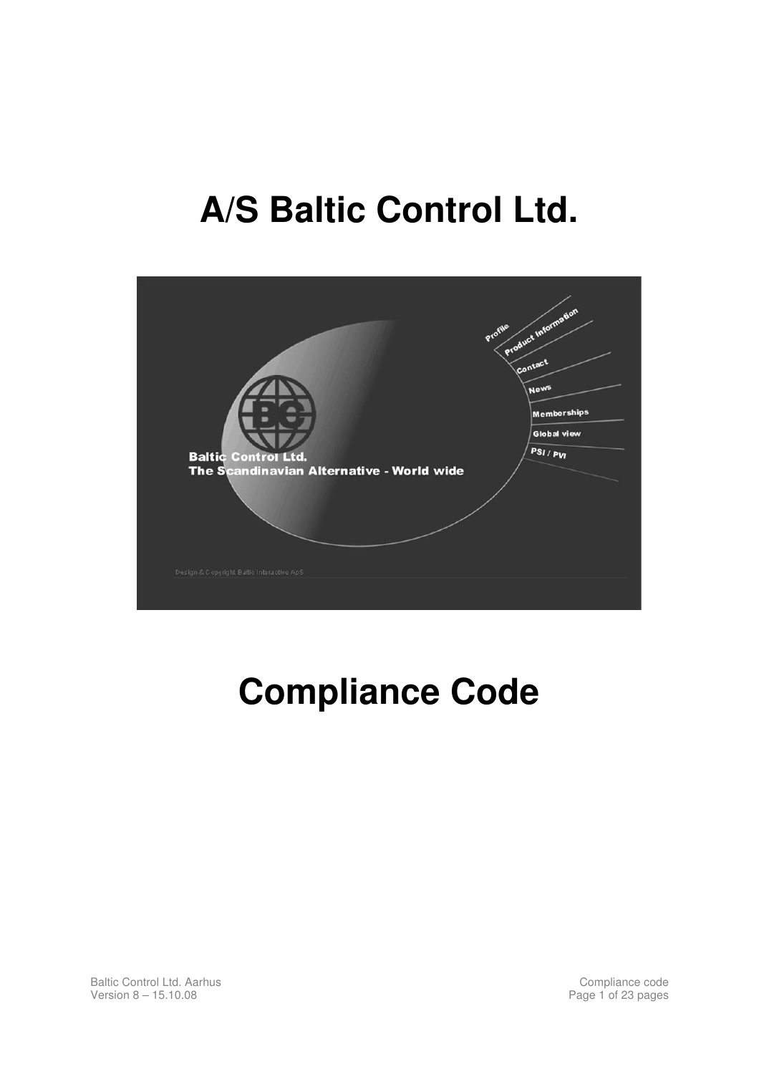# **A/S Baltic Control Ltd.**



# **Compliance Code**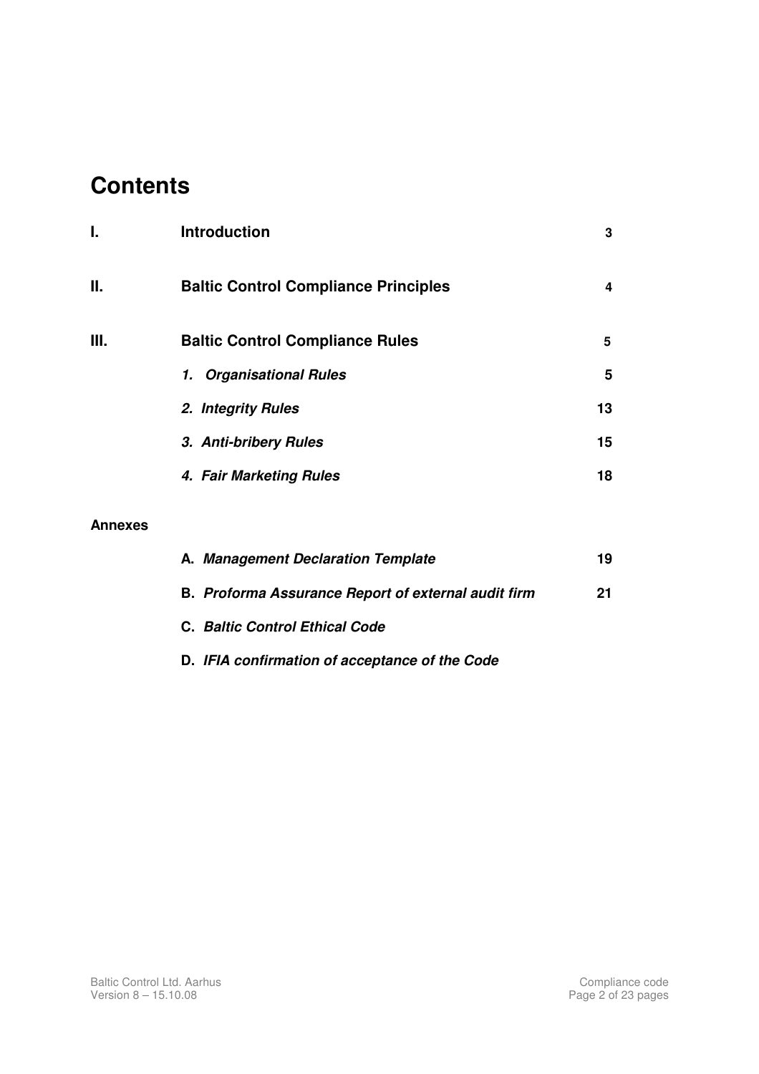# **Contents**

| ı. | <b>Introduction</b>                         | 3  |
|----|---------------------------------------------|----|
| П. | <b>Baltic Control Compliance Principles</b> | 4  |
| Ш. | <b>Baltic Control Compliance Rules</b>      | 5  |
|    | 1. Organisational Rules                     | 5  |
|    | 2. Integrity Rules                          | 13 |
|    | 3. Anti-bribery Rules                       | 15 |
|    | 4. Fair Marketing Rules                     | 18 |
|    |                                             |    |

#### **Annexes**

| A. Management Declaration Template                  | 19 |
|-----------------------------------------------------|----|
| B. Proforma Assurance Report of external audit firm | 21 |
| C. Baltic Control Ethical Code                      |    |

 **D. IFIA confirmation of acceptance of the Code**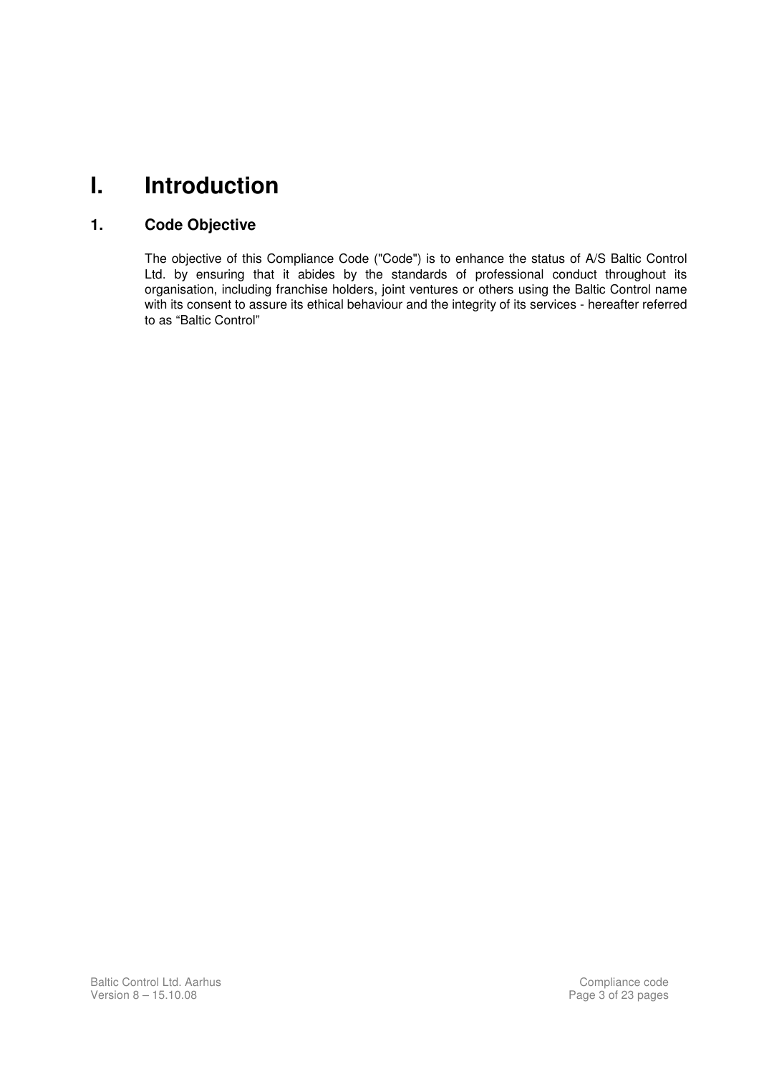# **I. Introduction**

#### **1. Code Objective**

 The objective of this Compliance Code ("Code") is to enhance the status of A/S Baltic Control Ltd. by ensuring that it abides by the standards of professional conduct throughout its organisation, including franchise holders, joint ventures or others using the Baltic Control name with its consent to assure its ethical behaviour and the integrity of its services - hereafter referred to as "Baltic Control"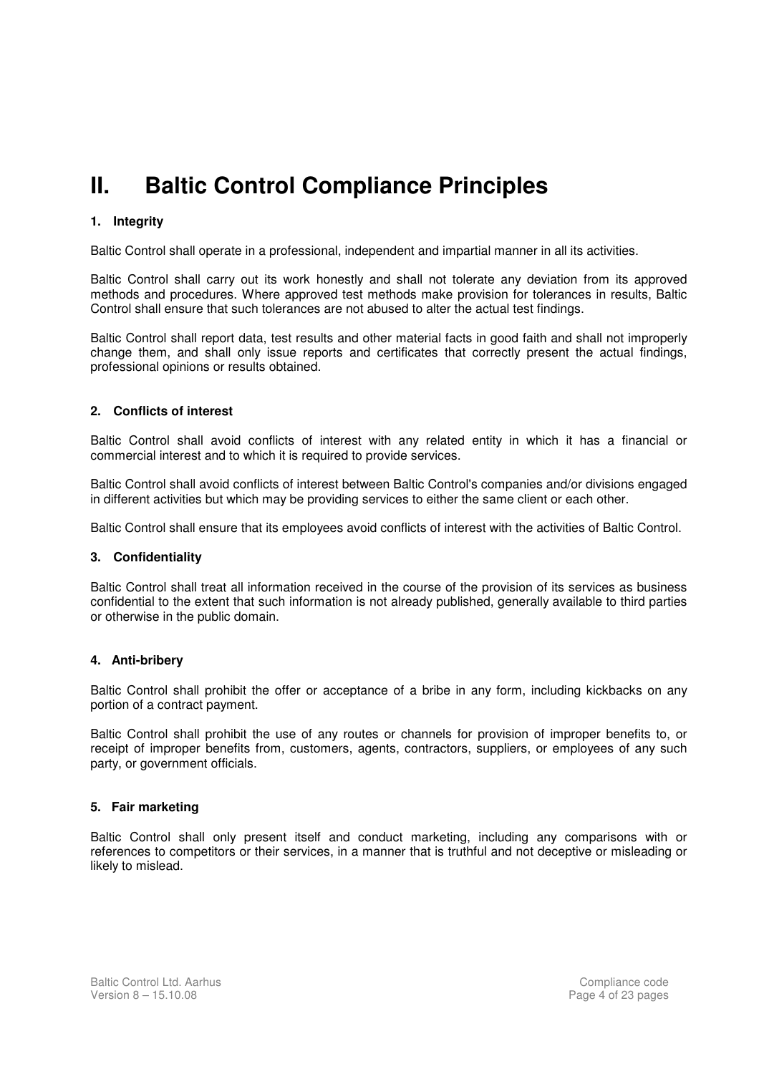# **II. Baltic Control Compliance Principles**

#### **1. Integrity**

Baltic Control shall operate in a professional, independent and impartial manner in all its activities.

Baltic Control shall carry out its work honestly and shall not tolerate any deviation from its approved methods and procedures. Where approved test methods make provision for tolerances in results, Baltic Control shall ensure that such tolerances are not abused to alter the actual test findings.

Baltic Control shall report data, test results and other material facts in good faith and shall not improperly change them, and shall only issue reports and certificates that correctly present the actual findings, professional opinions or results obtained.

#### **2. Conflicts of interest**

Baltic Control shall avoid conflicts of interest with any related entity in which it has a financial or commercial interest and to which it is required to provide services.

Baltic Control shall avoid conflicts of interest between Baltic Control's companies and/or divisions engaged in different activities but which may be providing services to either the same client or each other.

Baltic Control shall ensure that its employees avoid conflicts of interest with the activities of Baltic Control.

#### **3. Confidentiality**

Baltic Control shall treat all information received in the course of the provision of its services as business confidential to the extent that such information is not already published, generally available to third parties or otherwise in the public domain.

#### **4. Anti-bribery**

Baltic Control shall prohibit the offer or acceptance of a bribe in any form, including kickbacks on any portion of a contract payment.

Baltic Control shall prohibit the use of any routes or channels for provision of improper benefits to, or receipt of improper benefits from, customers, agents, contractors, suppliers, or employees of any such party, or government officials.

#### **5. Fair marketing**

Baltic Control shall only present itself and conduct marketing, including any comparisons with or references to competitors or their services, in a manner that is truthful and not deceptive or misleading or likely to mislead.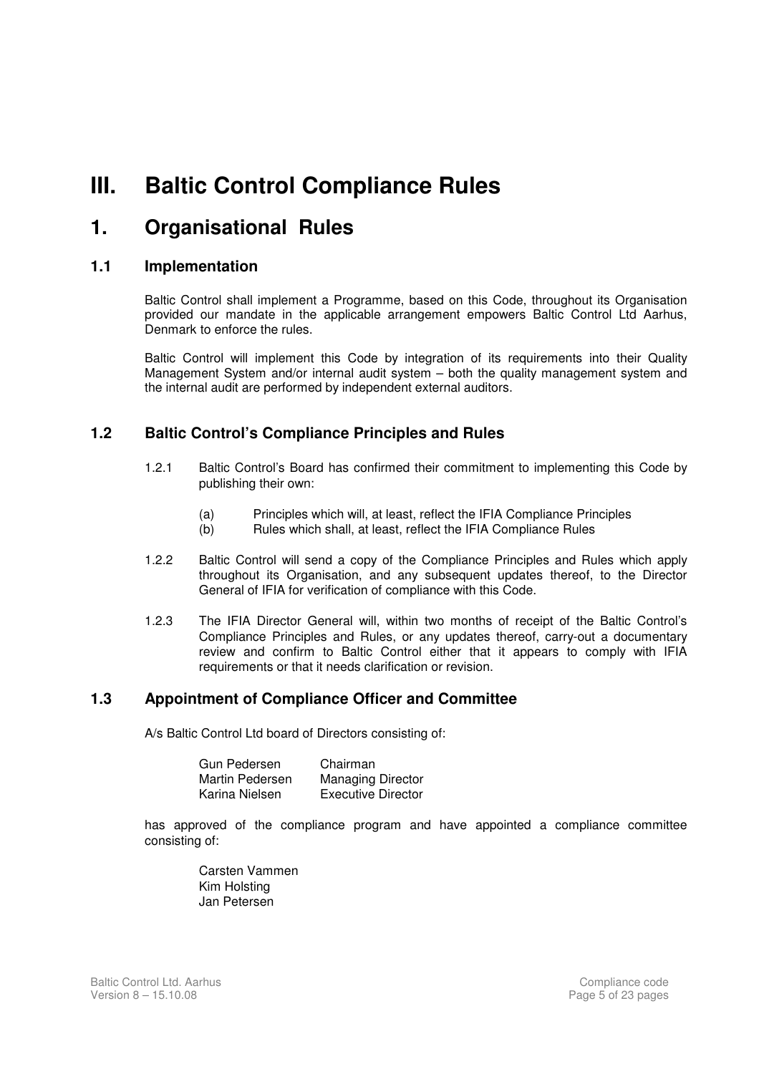# **III. Baltic Control Compliance Rules**

### **1. Organisational Rules**

#### **1.1 Implementation**

Baltic Control shall implement a Programme, based on this Code, throughout its Organisation provided our mandate in the applicable arrangement empowers Baltic Control Ltd Aarhus, Denmark to enforce the rules.

Baltic Control will implement this Code by integration of its requirements into their Quality Management System and/or internal audit system – both the quality management system and the internal audit are performed by independent external auditors.

#### **1.2 Baltic Control's Compliance Principles and Rules**

- 1.2.1 Baltic Control's Board has confirmed their commitment to implementing this Code by publishing their own:
	- (a) Principles which will, at least, reflect the IFIA Compliance Principles
	- (b) Rules which shall, at least, reflect the IFIA Compliance Rules
- 1.2.2 Baltic Control will send a copy of the Compliance Principles and Rules which apply throughout its Organisation, and any subsequent updates thereof, to the Director General of IFIA for verification of compliance with this Code.
- 1.2.3 The IFIA Director General will, within two months of receipt of the Baltic Control's Compliance Principles and Rules, or any updates thereof, carry-out a documentary review and confirm to Baltic Control either that it appears to comply with IFIA requirements or that it needs clarification or revision.

#### **1.3 Appointment of Compliance Officer and Committee**

A/s Baltic Control Ltd board of Directors consisting of:

| Gun Pedersen    | Chairman                  |
|-----------------|---------------------------|
| Martin Pedersen | <b>Managing Director</b>  |
| Karina Nielsen  | <b>Executive Director</b> |

 has approved of the compliance program and have appointed a compliance committee consisting of:

> Carsten Vammen Kim Holsting Jan Petersen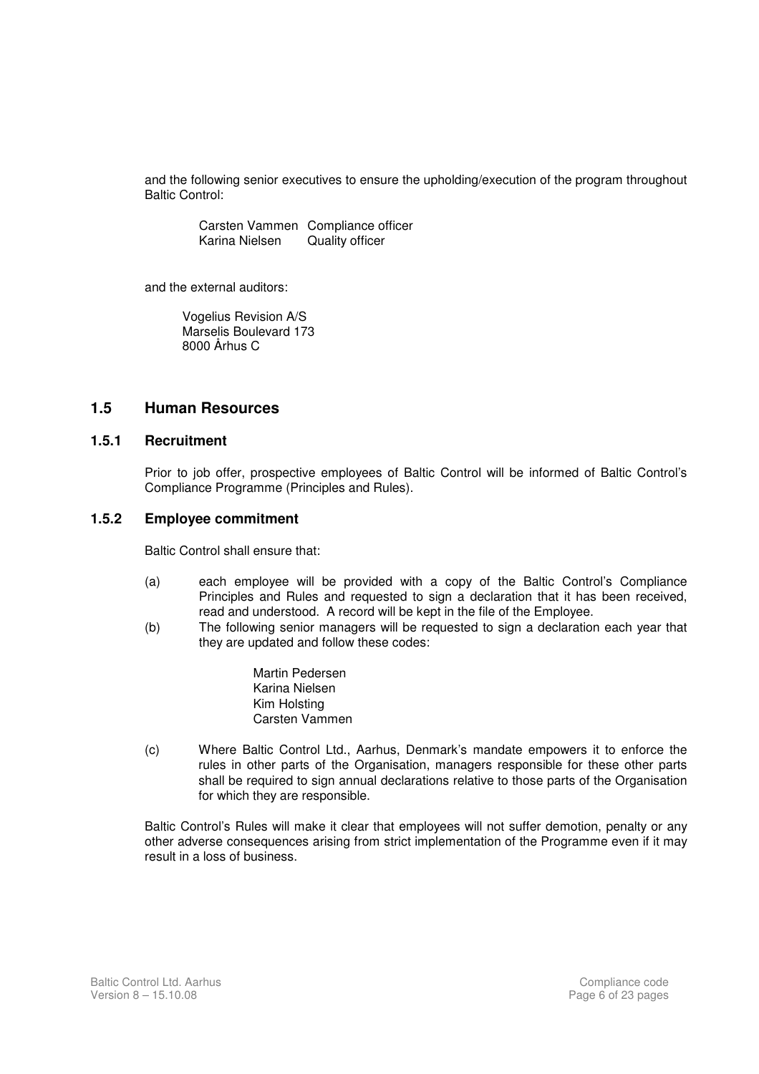and the following senior executives to ensure the upholding/execution of the program throughout Baltic Control:

 Carsten Vammen Compliance officer Karina Nielsen Quality officer

and the external auditors:

 Vogelius Revision A/S Marselis Boulevard 173 8000 Århus C

#### **1.5 Human Resources**

#### **1.5.1 Recruitment**

 Prior to job offer, prospective employees of Baltic Control will be informed of Baltic Control's Compliance Programme (Principles and Rules).

#### **1.5.2 Employee commitment**

Baltic Control shall ensure that:

- (a) each employee will be provided with a copy of the Baltic Control's Compliance Principles and Rules and requested to sign a declaration that it has been received, read and understood. A record will be kept in the file of the Employee.
- (b) The following senior managers will be requested to sign a declaration each year that they are updated and follow these codes:

 Martin Pedersen Karina Nielsen Kim Holsting Carsten Vammen

 (c) Where Baltic Control Ltd., Aarhus, Denmark's mandate empowers it to enforce the rules in other parts of the Organisation, managers responsible for these other parts shall be required to sign annual declarations relative to those parts of the Organisation for which they are responsible.

 Baltic Control's Rules will make it clear that employees will not suffer demotion, penalty or any other adverse consequences arising from strict implementation of the Programme even if it may result in a loss of business.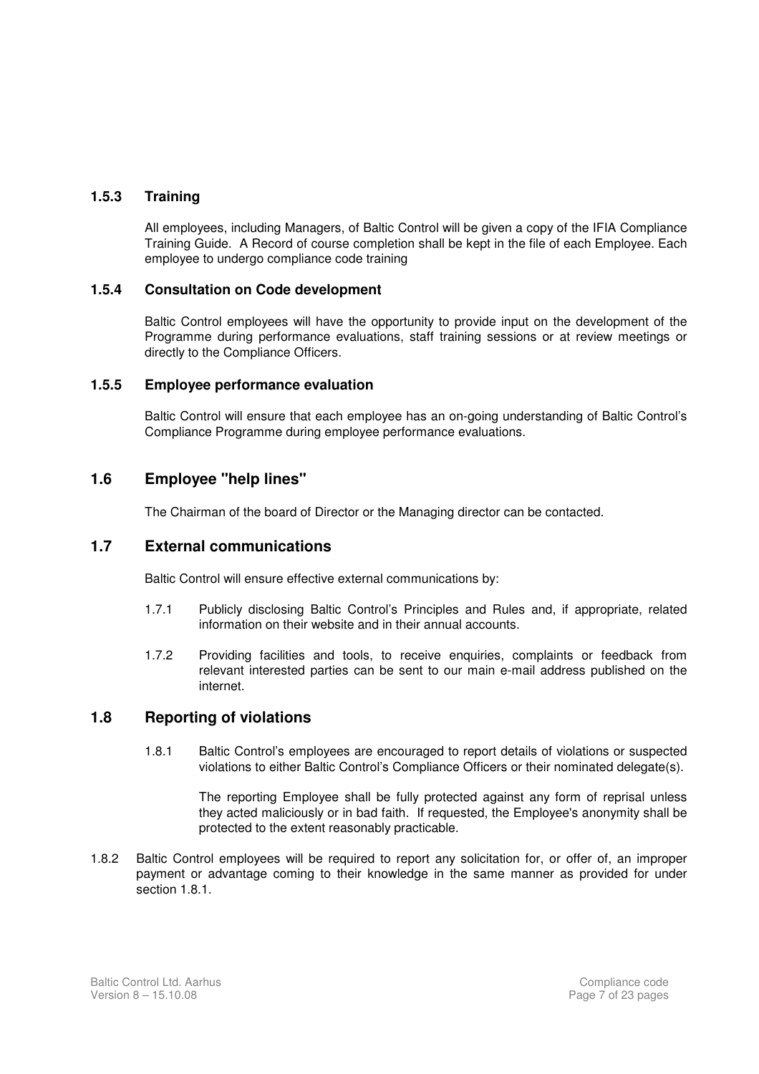#### **1.5.3 Training**

 All employees, including Managers, of Baltic Control will be given a copy of the IFIA Compliance Training Guide. A Record of course completion shall be kept in the file of each Employee. Each employee to undergo compliance code training

#### **1.5.4 Consultation on Code development**

 Baltic Control employees will have the opportunity to provide input on the development of the Programme during performance evaluations, staff training sessions or at review meetings or directly to the Compliance Officers.

#### **1.5.5 Employee performance evaluation**

 Baltic Control will ensure that each employee has an on-going understanding of Baltic Control's Compliance Programme during employee performance evaluations.

#### **1.6 Employee "help lines"**

The Chairman of the board of Director or the Managing director can be contacted.

#### **1.7 External communications**

Baltic Control will ensure effective external communications by:

- 1.7.1 Publicly disclosing Baltic Control's Principles and Rules and, if appropriate, related information on their website and in their annual accounts.
- 1.7.2 Providing facilities and tools, to receive enquiries, complaints or feedback from relevant interested parties can be sent to our main e-mail address published on the internet.

#### **1.8 Reporting of violations**

1.8.1 Baltic Control's employees are encouraged to report details of violations or suspected violations to either Baltic Control's Compliance Officers or their nominated delegate(s).

 The reporting Employee shall be fully protected against any form of reprisal unless they acted maliciously or in bad faith. If requested, the Employee's anonymity shall be protected to the extent reasonably practicable.

1.8.2 Baltic Control employees will be required to report any solicitation for, or offer of, an improper payment or advantage coming to their knowledge in the same manner as provided for under section 1.8.1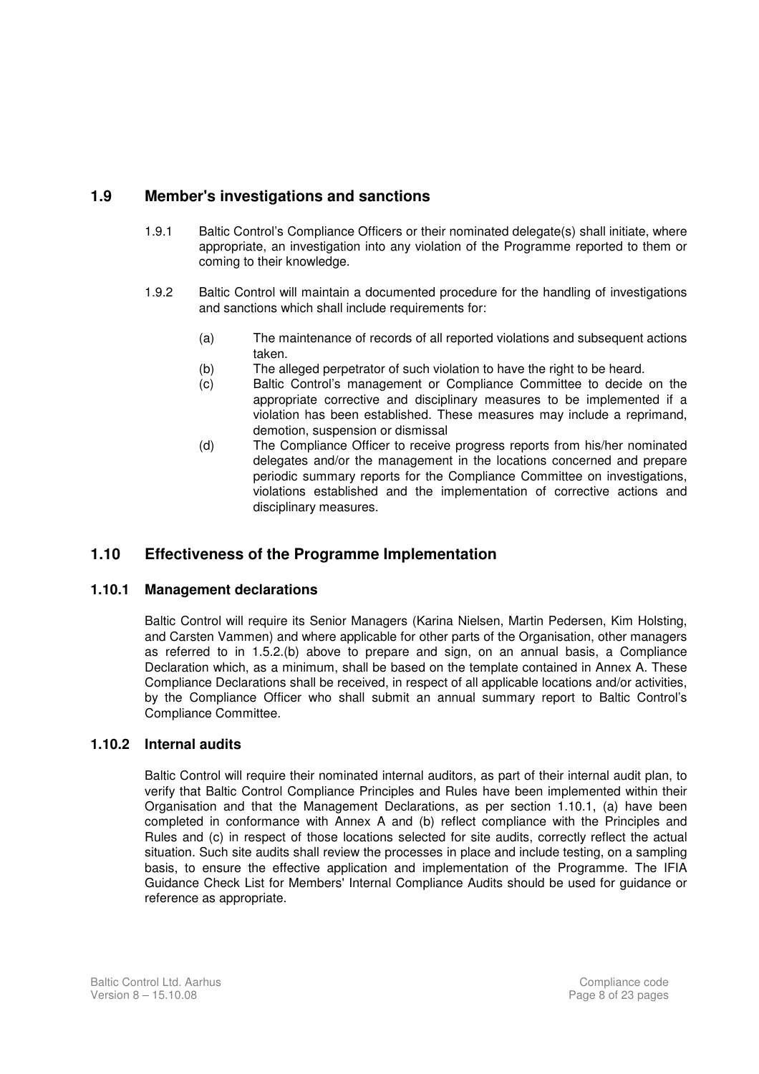#### **1.9 Member's investigations and sanctions**

- 1.9.1 Baltic Control's Compliance Officers or their nominated delegate(s) shall initiate, where appropriate, an investigation into any violation of the Programme reported to them or coming to their knowledge.
- 1.9.2 Baltic Control will maintain a documented procedure for the handling of investigations and sanctions which shall include requirements for:
	- (a) The maintenance of records of all reported violations and subsequent actions taken.
	- (b) The alleged perpetrator of such violation to have the right to be heard.
	- (c) Baltic Control's management or Compliance Committee to decide on the appropriate corrective and disciplinary measures to be implemented if a violation has been established. These measures may include a reprimand, demotion, suspension or dismissal
	- (d) The Compliance Officer to receive progress reports from his/her nominated delegates and/or the management in the locations concerned and prepare periodic summary reports for the Compliance Committee on investigations, violations established and the implementation of corrective actions and disciplinary measures.

#### **1.10 Effectiveness of the Programme Implementation**

#### **1.10.1 Management declarations**

Baltic Control will require its Senior Managers (Karina Nielsen, Martin Pedersen, Kim Holsting, and Carsten Vammen) and where applicable for other parts of the Organisation, other managers as referred to in 1.5.2.(b) above to prepare and sign, on an annual basis, a Compliance Declaration which, as a minimum, shall be based on the template contained in Annex A. These Compliance Declarations shall be received, in respect of all applicable locations and/or activities, by the Compliance Officer who shall submit an annual summary report to Baltic Control's Compliance Committee.

#### **1.10.2 Internal audits**

Baltic Control will require their nominated internal auditors, as part of their internal audit plan, to verify that Baltic Control Compliance Principles and Rules have been implemented within their Organisation and that the Management Declarations, as per section 1.10.1, (a) have been completed in conformance with Annex A and (b) reflect compliance with the Principles and Rules and (c) in respect of those locations selected for site audits, correctly reflect the actual situation. Such site audits shall review the processes in place and include testing, on a sampling basis, to ensure the effective application and implementation of the Programme. The IFIA Guidance Check List for Members' Internal Compliance Audits should be used for guidance or reference as appropriate.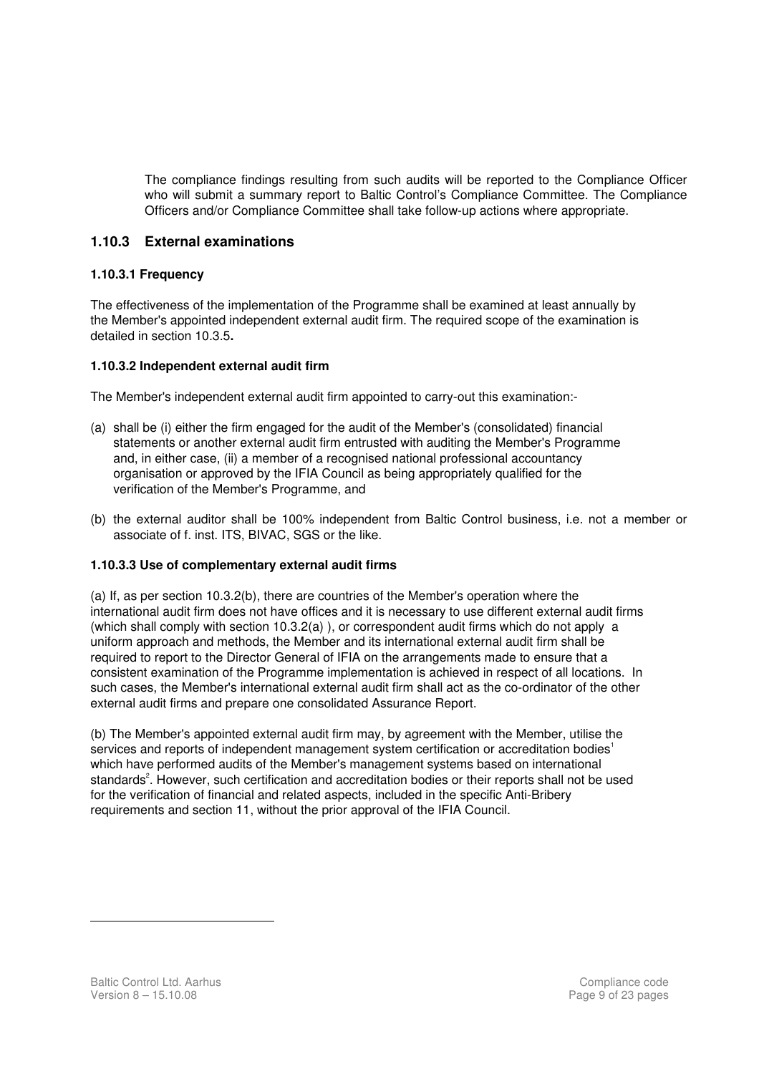The compliance findings resulting from such audits will be reported to the Compliance Officer who will submit a summary report to Baltic Control's Compliance Committee. The Compliance Officers and/or Compliance Committee shall take follow-up actions where appropriate.

#### **1.10.3 External examinations**

#### **1.10.3.1 Frequency**

The effectiveness of the implementation of the Programme shall be examined at least annually by the Member's appointed independent external audit firm. The required scope of the examination is detailed in section 10.3.5**.**

#### **1.10.3.2 Independent external audit firm**

The Member's independent external audit firm appointed to carry-out this examination:-

- (a) shall be (i) either the firm engaged for the audit of the Member's (consolidated) financial statements or another external audit firm entrusted with auditing the Member's Programme and, in either case, (ii) a member of a recognised national professional accountancy organisation or approved by the IFIA Council as being appropriately qualified for the verification of the Member's Programme, and
- (b) the external auditor shall be 100% independent from Baltic Control business, i.e. not a member or associate of f. inst. ITS, BIVAC, SGS or the like.

#### **1.10.3.3 Use of complementary external audit firms**

(a) If, as per section 10.3.2(b), there are countries of the Member's operation where the international audit firm does not have offices and it is necessary to use different external audit firms (which shall comply with section 10.3.2(a) ), or correspondent audit firms which do not apply a uniform approach and methods, the Member and its international external audit firm shall be required to report to the Director General of IFIA on the arrangements made to ensure that a consistent examination of the Programme implementation is achieved in respect of all locations. In such cases, the Member's international external audit firm shall act as the co-ordinator of the other external audit firms and prepare one consolidated Assurance Report.

(b) The Member's appointed external audit firm may, by agreement with the Member, utilise the services and reports of independent management system certification or accreditation bodies<sup>1</sup> which have performed audits of the Member's management systems based on international standards<sup>2</sup>. However, such certification and accreditation bodies or their reports shall not be used for the verification of financial and related aspects, included in the specific Anti-Bribery requirements and section 11, without the prior approval of the IFIA Council.

 $\overline{a}$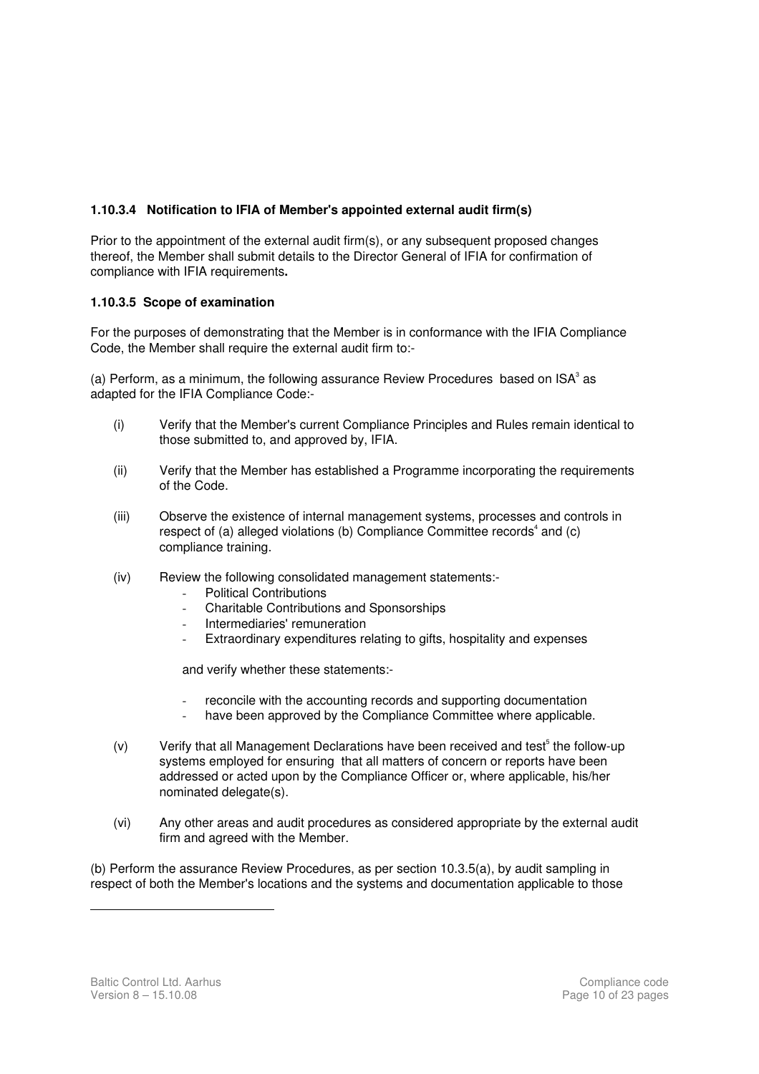#### **1.10.3.4 Notification to IFIA of Member's appointed external audit firm(s)**

Prior to the appointment of the external audit firm(s), or any subsequent proposed changes thereof, the Member shall submit details to the Director General of IFIA for confirmation of compliance with IFIA requirements**.** 

#### **1.10.3.5 Scope of examination**

For the purposes of demonstrating that the Member is in conformance with the IFIA Compliance Code, the Member shall require the external audit firm to:-

(a) Perform, as a minimum, the following assurance Review Procedures based on  $ISA^3$  as adapted for the IFIA Compliance Code:-

- (i) Verify that the Member's current Compliance Principles and Rules remain identical to those submitted to, and approved by, IFIA.
- (ii) Verify that the Member has established a Programme incorporating the requirements of the Code.
- (iii) Observe the existence of internal management systems, processes and controls in respect of (a) alleged violations (b) Compliance Committee records<sup>4</sup> and (c) compliance training.
- (iv) Review the following consolidated management statements:-
	- Political Contributions
	- Charitable Contributions and Sponsorships
	- Intermediaries' remuneration
	- Extraordinary expenditures relating to gifts, hospitality and expenses

and verify whether these statements:-

- reconcile with the accounting records and supporting documentation
- have been approved by the Compliance Committee where applicable.
- (v) Verify that all Management Declarations have been received and test<sup>5</sup> the follow-up systems employed for ensuring that all matters of concern or reports have been addressed or acted upon by the Compliance Officer or, where applicable, his/her nominated delegate(s).
- (vi) Any other areas and audit procedures as considered appropriate by the external audit firm and agreed with the Member.

(b) Perform the assurance Review Procedures, as per section 10.3.5(a), by audit sampling in respect of both the Member's locations and the systems and documentation applicable to those

 $\overline{a}$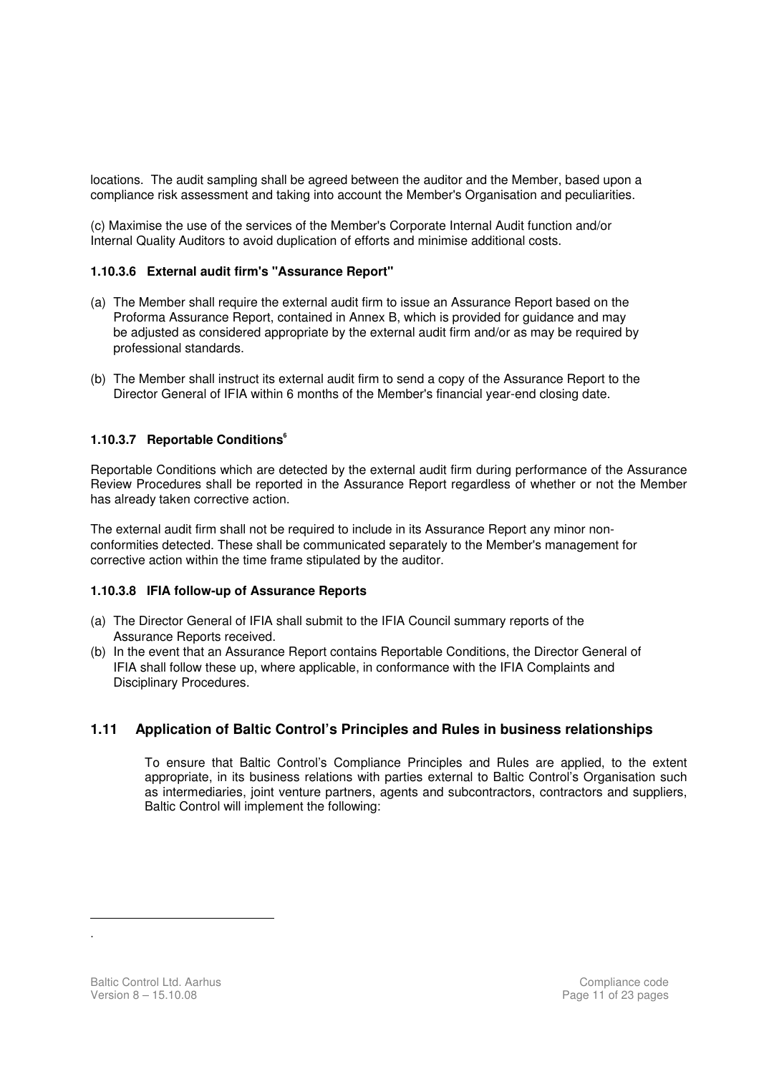locations. The audit sampling shall be agreed between the auditor and the Member, based upon a compliance risk assessment and taking into account the Member's Organisation and peculiarities.

(c) Maximise the use of the services of the Member's Corporate Internal Audit function and/or Internal Quality Auditors to avoid duplication of efforts and minimise additional costs.

#### **1.10.3.6 External audit firm's "Assurance Report"**

- (a) The Member shall require the external audit firm to issue an Assurance Report based on the Proforma Assurance Report, contained in Annex B, which is provided for guidance and may be adjusted as considered appropriate by the external audit firm and/or as may be required by professional standards.
- (b) The Member shall instruct its external audit firm to send a copy of the Assurance Report to the Director General of IFIA within 6 months of the Member's financial year-end closing date.

#### **1.10.3.7 Reportable Conditions<sup>6</sup>**

Reportable Conditions which are detected by the external audit firm during performance of the Assurance Review Procedures shall be reported in the Assurance Report regardless of whether or not the Member has already taken corrective action.

The external audit firm shall not be required to include in its Assurance Report any minor nonconformities detected. These shall be communicated separately to the Member's management for corrective action within the time frame stipulated by the auditor.

#### **1.10.3.8 IFIA follow-up of Assurance Reports**

- (a) The Director General of IFIA shall submit to the IFIA Council summary reports of the Assurance Reports received.
- (b) In the event that an Assurance Report contains Reportable Conditions, the Director General of IFIA shall follow these up, where applicable, in conformance with the IFIA Complaints and Disciplinary Procedures.

#### **1.11 Application of Baltic Control's Principles and Rules in business relationships**

To ensure that Baltic Control's Compliance Principles and Rules are applied, to the extent appropriate, in its business relations with parties external to Baltic Control's Organisation such as intermediaries, joint venture partners, agents and subcontractors, contractors and suppliers, Baltic Control will implement the following:

 $\overline{a}$ .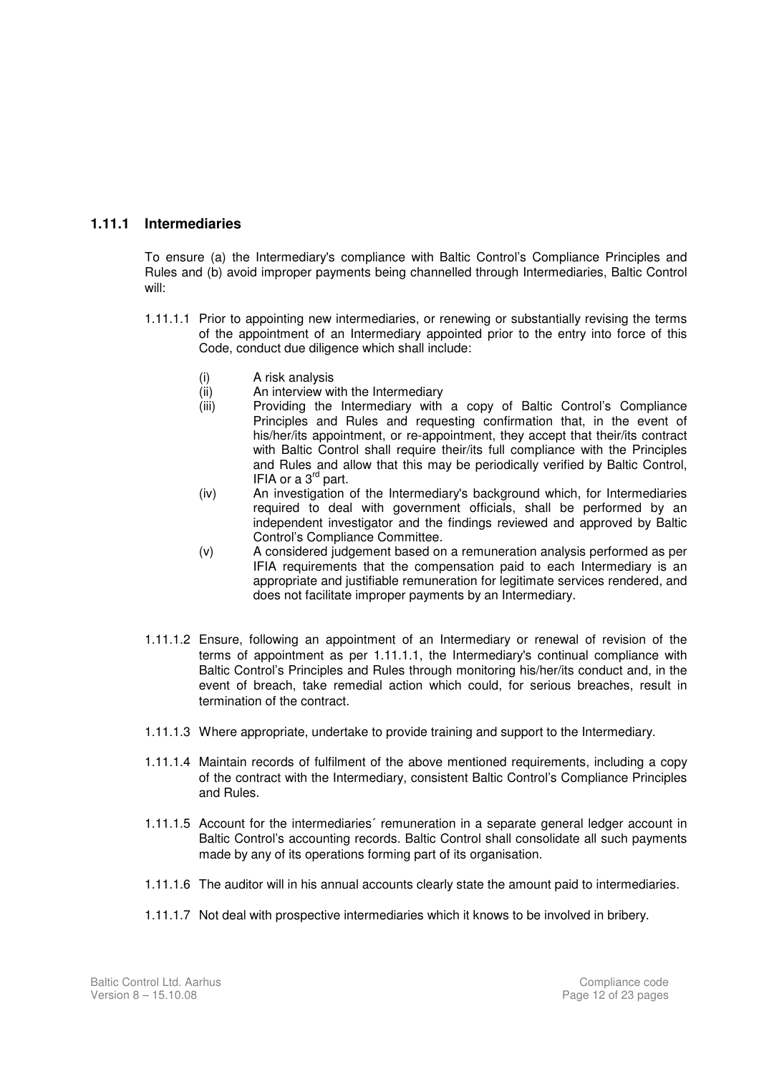#### **1.11.1 Intermediaries**

To ensure (a) the Intermediary's compliance with Baltic Control's Compliance Principles and Rules and (b) avoid improper payments being channelled through Intermediaries, Baltic Control will:

- 1.11.1.1 Prior to appointing new intermediaries, or renewing or substantially revising the terms of the appointment of an Intermediary appointed prior to the entry into force of this Code, conduct due diligence which shall include:
	- (i) A risk analysis
	- (ii) An interview with the Intermediary
	- (iii) Providing the Intermediary with a copy of Baltic Control's Compliance Principles and Rules and requesting confirmation that, in the event of his/her/its appointment, or re-appointment, they accept that their/its contract with Baltic Control shall require their/its full compliance with the Principles and Rules and allow that this may be periodically verified by Baltic Control, IFIA or a 3<sup>rd</sup> part.
	- (iv) An investigation of the Intermediary's background which, for Intermediaries required to deal with government officials, shall be performed by an independent investigator and the findings reviewed and approved by Baltic Control's Compliance Committee.
	- (v) A considered judgement based on a remuneration analysis performed as per IFIA requirements that the compensation paid to each Intermediary is an appropriate and justifiable remuneration for legitimate services rendered, and does not facilitate improper payments by an Intermediary.
- 1.11.1.2 Ensure, following an appointment of an Intermediary or renewal of revision of the terms of appointment as per 1.11.1.1, the Intermediary's continual compliance with Baltic Control's Principles and Rules through monitoring his/her/its conduct and, in the event of breach, take remedial action which could, for serious breaches, result in termination of the contract.
- 1.11.1.3 Where appropriate, undertake to provide training and support to the Intermediary.
- 1.11.1.4 Maintain records of fulfilment of the above mentioned requirements, including a copy of the contract with the Intermediary, consistent Baltic Control's Compliance Principles and Rules.
- 1.11.1.5 Account for the intermediaries´ remuneration in a separate general ledger account in Baltic Control's accounting records. Baltic Control shall consolidate all such payments made by any of its operations forming part of its organisation.
- 1.11.1.6 The auditor will in his annual accounts clearly state the amount paid to intermediaries.
- 1.11.1.7 Not deal with prospective intermediaries which it knows to be involved in bribery.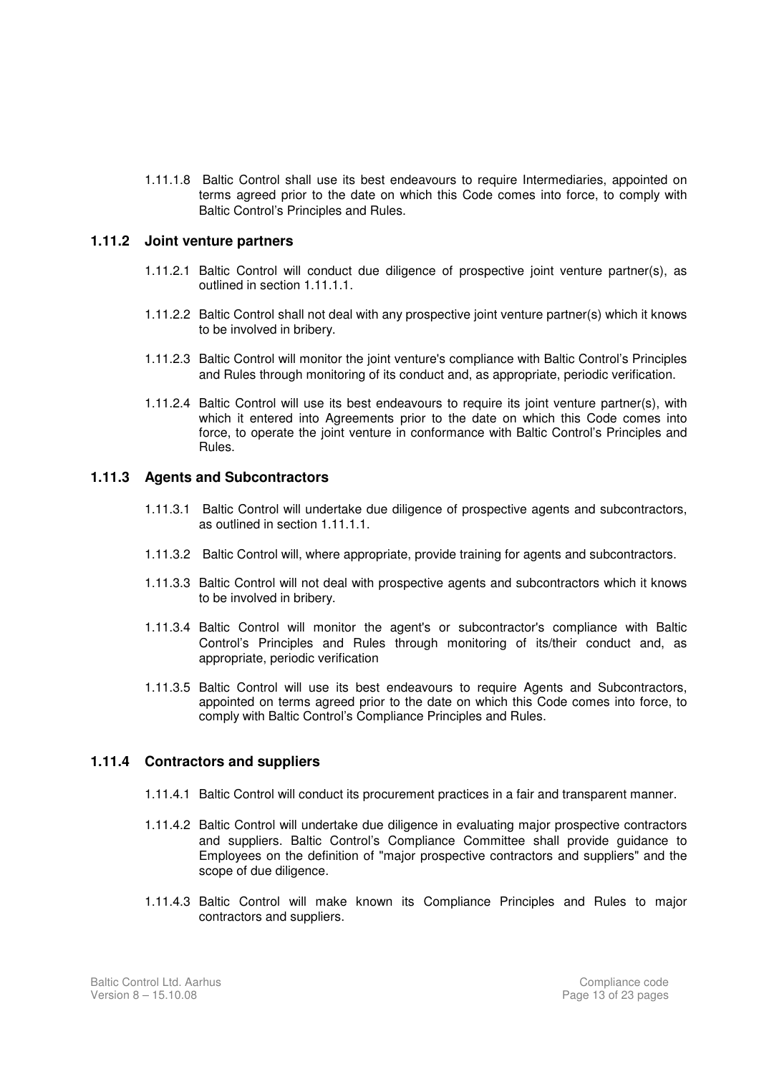1.11.1.8 Baltic Control shall use its best endeavours to require Intermediaries, appointed on terms agreed prior to the date on which this Code comes into force, to comply with Baltic Control's Principles and Rules.

#### **1.11.2 Joint venture partners**

- 1.11.2.1 Baltic Control will conduct due diligence of prospective joint venture partner(s), as outlined in section 1.11.1.1.
- 1.11.2.2 Baltic Control shall not deal with any prospective joint venture partner(s) which it knows to be involved in bribery.
- 1.11.2.3 Baltic Control will monitor the joint venture's compliance with Baltic Control's Principles and Rules through monitoring of its conduct and, as appropriate, periodic verification.
- 1.11.2.4 Baltic Control will use its best endeavours to require its joint venture partner(s), with which it entered into Agreements prior to the date on which this Code comes into force, to operate the joint venture in conformance with Baltic Control's Principles and Rules.

#### **1.11.3 Agents and Subcontractors**

- 1.11.3.1 Baltic Control will undertake due diligence of prospective agents and subcontractors, as outlined in section 1.11.1.1.
- 1.11.3.2 Baltic Control will, where appropriate, provide training for agents and subcontractors.
- 1.11.3.3 Baltic Control will not deal with prospective agents and subcontractors which it knows to be involved in bribery.
- 1.11.3.4 Baltic Control will monitor the agent's or subcontractor's compliance with Baltic Control's Principles and Rules through monitoring of its/their conduct and, as appropriate, periodic verification
- 1.11.3.5 Baltic Control will use its best endeavours to require Agents and Subcontractors, appointed on terms agreed prior to the date on which this Code comes into force, to comply with Baltic Control's Compliance Principles and Rules.

#### **1.11.4 Contractors and suppliers**

- 1.11.4.1 Baltic Control will conduct its procurement practices in a fair and transparent manner.
- 1.11.4.2 Baltic Control will undertake due diligence in evaluating major prospective contractors and suppliers. Baltic Control's Compliance Committee shall provide guidance to Employees on the definition of "major prospective contractors and suppliers" and the scope of due diligence.
- 1.11.4.3 Baltic Control will make known its Compliance Principles and Rules to major contractors and suppliers.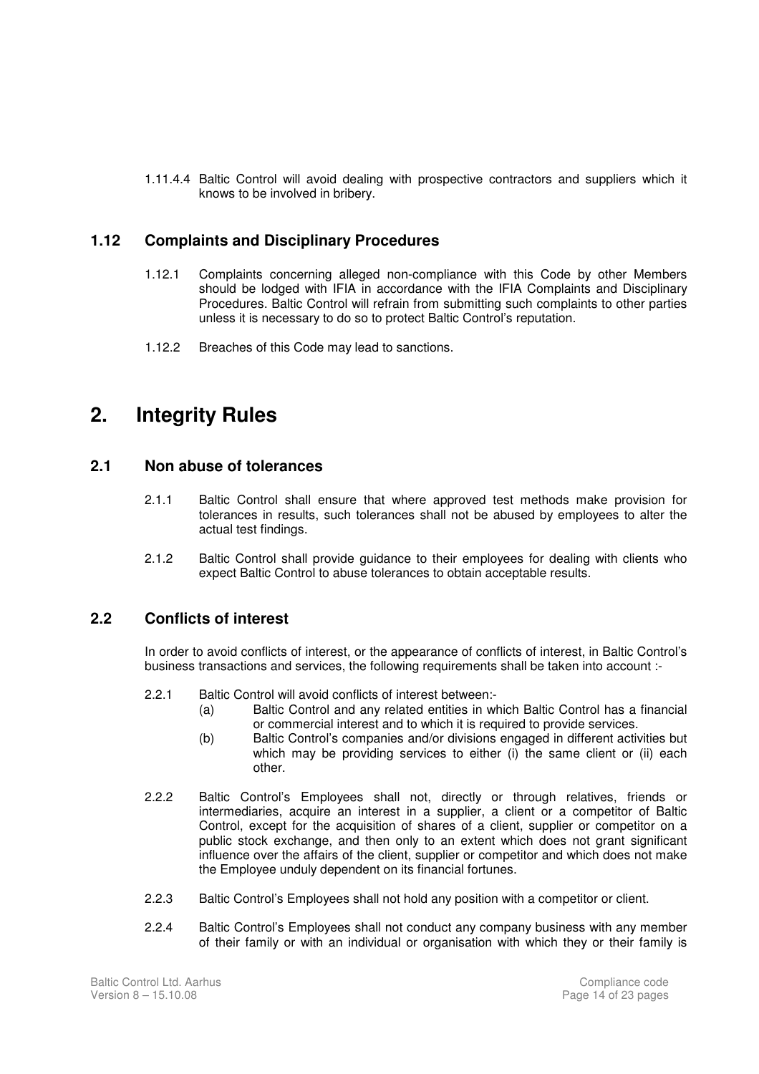1.11.4.4 Baltic Control will avoid dealing with prospective contractors and suppliers which it knows to be involved in bribery.

#### **1.12 Complaints and Disciplinary Procedures**

- 1.12.1 Complaints concerning alleged non-compliance with this Code by other Members should be lodged with IFIA in accordance with the IFIA Complaints and Disciplinary Procedures. Baltic Control will refrain from submitting such complaints to other parties unless it is necessary to do so to protect Baltic Control's reputation.
- 1.12.2 Breaches of this Code may lead to sanctions.

### **2. Integrity Rules**

#### **2.1 Non abuse of tolerances**

- 2.1.1 Baltic Control shall ensure that where approved test methods make provision for tolerances in results, such tolerances shall not be abused by employees to alter the actual test findings.
- 2.1.2 Baltic Control shall provide guidance to their employees for dealing with clients who expect Baltic Control to abuse tolerances to obtain acceptable results.

#### **2.2 Conflicts of interest**

In order to avoid conflicts of interest, or the appearance of conflicts of interest, in Baltic Control's business transactions and services, the following requirements shall be taken into account :-

- 2.2.1 Baltic Control will avoid conflicts of interest between:-
	- (a) Baltic Control and any related entities in which Baltic Control has a financial or commercial interest and to which it is required to provide services.
	- (b) Baltic Control's companies and/or divisions engaged in different activities but which may be providing services to either (i) the same client or (ii) each other.
- 2.2.2 Baltic Control's Employees shall not, directly or through relatives, friends or intermediaries, acquire an interest in a supplier, a client or a competitor of Baltic Control, except for the acquisition of shares of a client, supplier or competitor on a public stock exchange, and then only to an extent which does not grant significant influence over the affairs of the client, supplier or competitor and which does not make the Employee unduly dependent on its financial fortunes.
- 2.2.3 Baltic Control's Employees shall not hold any position with a competitor or client.
- 2.2.4 Baltic Control's Employees shall not conduct any company business with any member of their family or with an individual or organisation with which they or their family is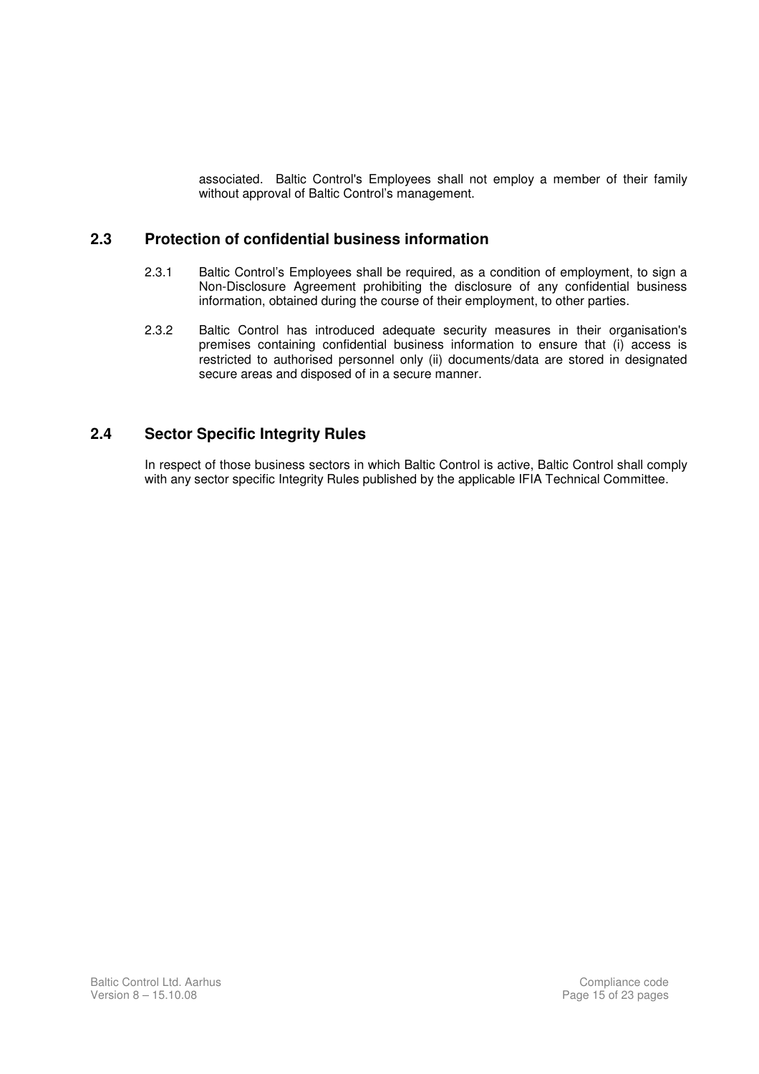associated. Baltic Control's Employees shall not employ a member of their family without approval of Baltic Control's management.

#### **2.3 Protection of confidential business information**

- 2.3.1 Baltic Control's Employees shall be required, as a condition of employment, to sign a Non-Disclosure Agreement prohibiting the disclosure of any confidential business information, obtained during the course of their employment, to other parties.
- 2.3.2 Baltic Control has introduced adequate security measures in their organisation's premises containing confidential business information to ensure that (i) access is restricted to authorised personnel only (ii) documents/data are stored in designated secure areas and disposed of in a secure manner.

#### **2.4 Sector Specific Integrity Rules**

In respect of those business sectors in which Baltic Control is active, Baltic Control shall comply with any sector specific Integrity Rules published by the applicable IFIA Technical Committee.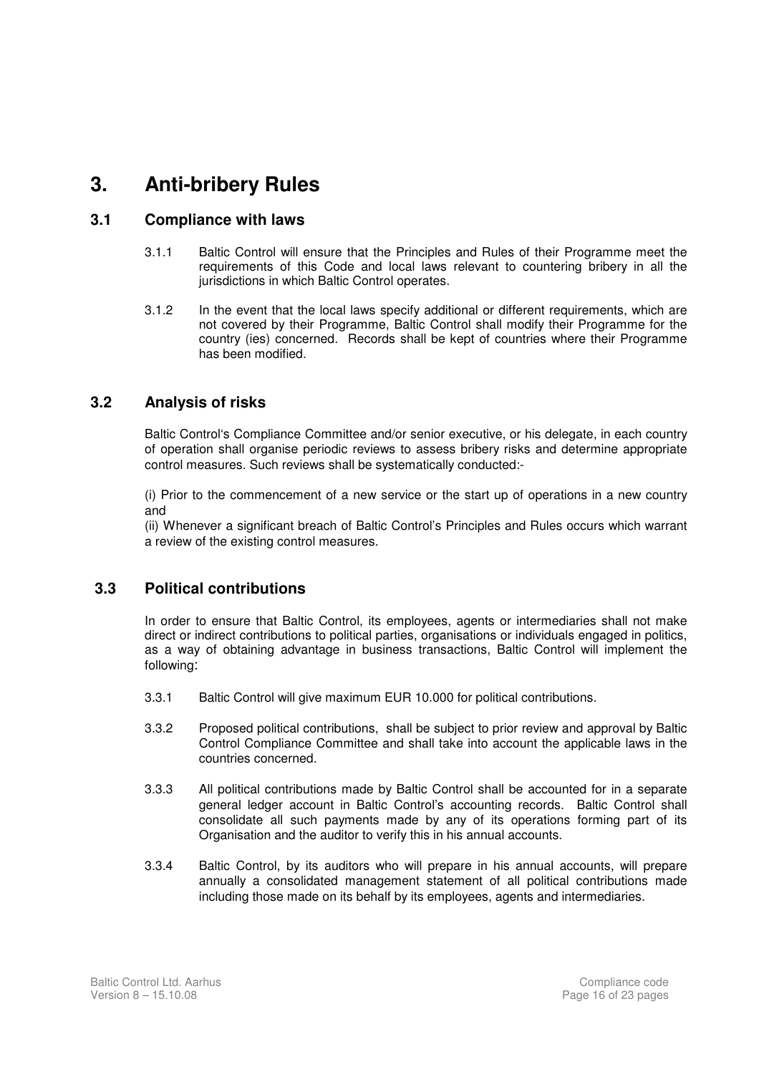## **3. Anti-bribery Rules**

#### **3.1 Compliance with laws**

- 3.1.1 Baltic Control will ensure that the Principles and Rules of their Programme meet the requirements of this Code and local laws relevant to countering bribery in all the jurisdictions in which Baltic Control operates.
- 3.1.2 In the event that the local laws specify additional or different requirements, which are not covered by their Programme, Baltic Control shall modify their Programme for the country (ies) concerned. Records shall be kept of countries where their Programme has been modified.

#### **3.2 Analysis of risks**

Baltic Control's Compliance Committee and/or senior executive, or his delegate, in each country of operation shall organise periodic reviews to assess bribery risks and determine appropriate control measures. Such reviews shall be systematically conducted:-

(i) Prior to the commencement of a new service or the start up of operations in a new country and

(ii) Whenever a significant breach of Baltic Control's Principles and Rules occurs which warrant a review of the existing control measures.

#### **3.3 Political contributions**

In order to ensure that Baltic Control, its employees, agents or intermediaries shall not make direct or indirect contributions to political parties, organisations or individuals engaged in politics, as a way of obtaining advantage in business transactions, Baltic Control will implement the following:

- 3.3.1 Baltic Control will give maximum EUR 10.000 for political contributions.
- 3.3.2 Proposed political contributions, shall be subject to prior review and approval by Baltic Control Compliance Committee and shall take into account the applicable laws in the countries concerned.
- 3.3.3 All political contributions made by Baltic Control shall be accounted for in a separate general ledger account in Baltic Control's accounting records. Baltic Control shall consolidate all such payments made by any of its operations forming part of its Organisation and the auditor to verify this in his annual accounts.
- 3.3.4 Baltic Control, by its auditors who will prepare in his annual accounts, will prepare annually a consolidated management statement of all political contributions made including those made on its behalf by its employees, agents and intermediaries.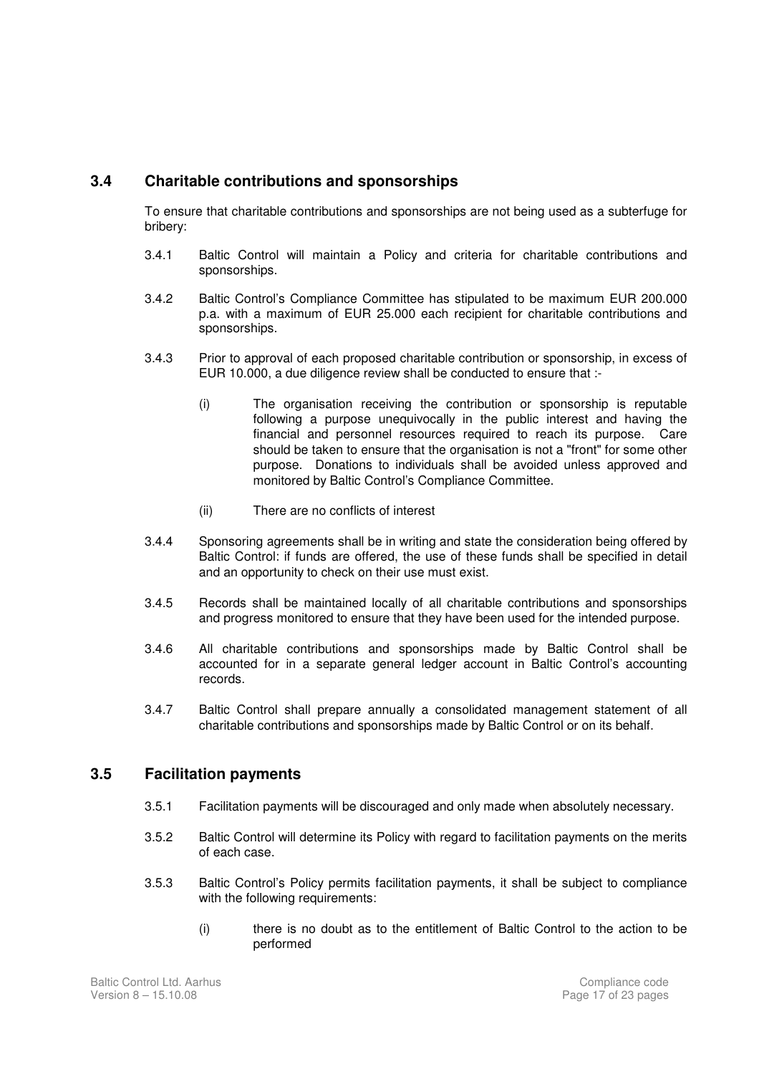#### **3.4 Charitable contributions and sponsorships**

To ensure that charitable contributions and sponsorships are not being used as a subterfuge for bribery:

- 3.4.1 Baltic Control will maintain a Policy and criteria for charitable contributions and sponsorships.
- 3.4.2 Baltic Control's Compliance Committee has stipulated to be maximum EUR 200.000 p.a. with a maximum of EUR 25.000 each recipient for charitable contributions and sponsorships.
- 3.4.3 Prior to approval of each proposed charitable contribution or sponsorship, in excess of EUR 10.000, a due diligence review shall be conducted to ensure that :-
	- (i) The organisation receiving the contribution or sponsorship is reputable following a purpose unequivocally in the public interest and having the financial and personnel resources required to reach its purpose. Care should be taken to ensure that the organisation is not a "front" for some other purpose. Donations to individuals shall be avoided unless approved and monitored by Baltic Control's Compliance Committee.
	- (ii) There are no conflicts of interest
- 3.4.4 Sponsoring agreements shall be in writing and state the consideration being offered by Baltic Control: if funds are offered, the use of these funds shall be specified in detail and an opportunity to check on their use must exist.
- 3.4.5 Records shall be maintained locally of all charitable contributions and sponsorships and progress monitored to ensure that they have been used for the intended purpose.
- 3.4.6 All charitable contributions and sponsorships made by Baltic Control shall be accounted for in a separate general ledger account in Baltic Control's accounting records.
- 3.4.7 Baltic Control shall prepare annually a consolidated management statement of all charitable contributions and sponsorships made by Baltic Control or on its behalf.

#### **3.5 Facilitation payments**

- 3.5.1 Facilitation payments will be discouraged and only made when absolutely necessary.
- 3.5.2 Baltic Control will determine its Policy with regard to facilitation payments on the merits of each case.
- 3.5.3 Baltic Control's Policy permits facilitation payments, it shall be subject to compliance with the following requirements:
	- (i) there is no doubt as to the entitlement of Baltic Control to the action to be performed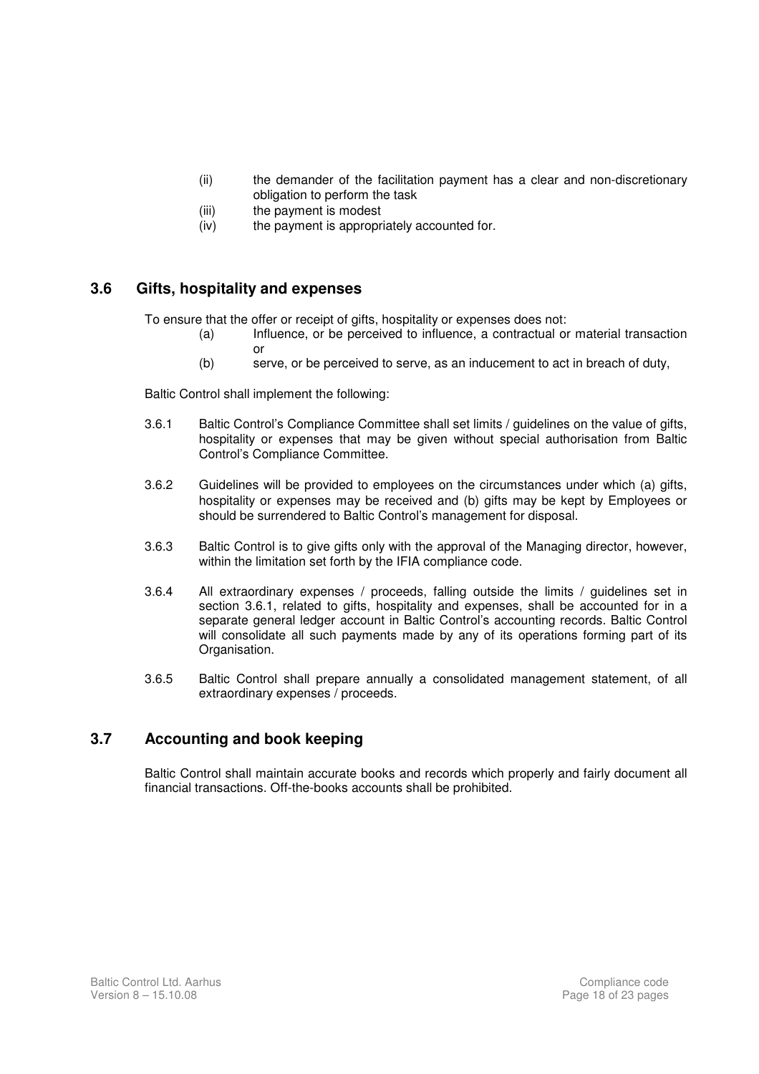- (ii) the demander of the facilitation payment has a clear and non-discretionary obligation to perform the task
- (iii) the payment is modest
- (iv) the payment is appropriately accounted for.

#### **3.6 Gifts, hospitality and expenses**

To ensure that the offer or receipt of gifts, hospitality or expenses does not:

- (a) Influence, or be perceived to influence, a contractual or material transaction or
- (b) serve, or be perceived to serve, as an inducement to act in breach of duty,

Baltic Control shall implement the following:

- 3.6.1 Baltic Control's Compliance Committee shall set limits / guidelines on the value of gifts, hospitality or expenses that may be given without special authorisation from Baltic Control's Compliance Committee.
- 3.6.2 Guidelines will be provided to employees on the circumstances under which (a) gifts, hospitality or expenses may be received and (b) gifts may be kept by Employees or should be surrendered to Baltic Control's management for disposal.
- 3.6.3 Baltic Control is to give gifts only with the approval of the Managing director, however, within the limitation set forth by the IFIA compliance code.
- 3.6.4 All extraordinary expenses / proceeds, falling outside the limits / guidelines set in section 3.6.1, related to gifts, hospitality and expenses, shall be accounted for in a separate general ledger account in Baltic Control's accounting records. Baltic Control will consolidate all such payments made by any of its operations forming part of its Organisation.
- 3.6.5 Baltic Control shall prepare annually a consolidated management statement, of all extraordinary expenses / proceeds.

#### **3.7 Accounting and book keeping**

Baltic Control shall maintain accurate books and records which properly and fairly document all financial transactions. Off-the-books accounts shall be prohibited.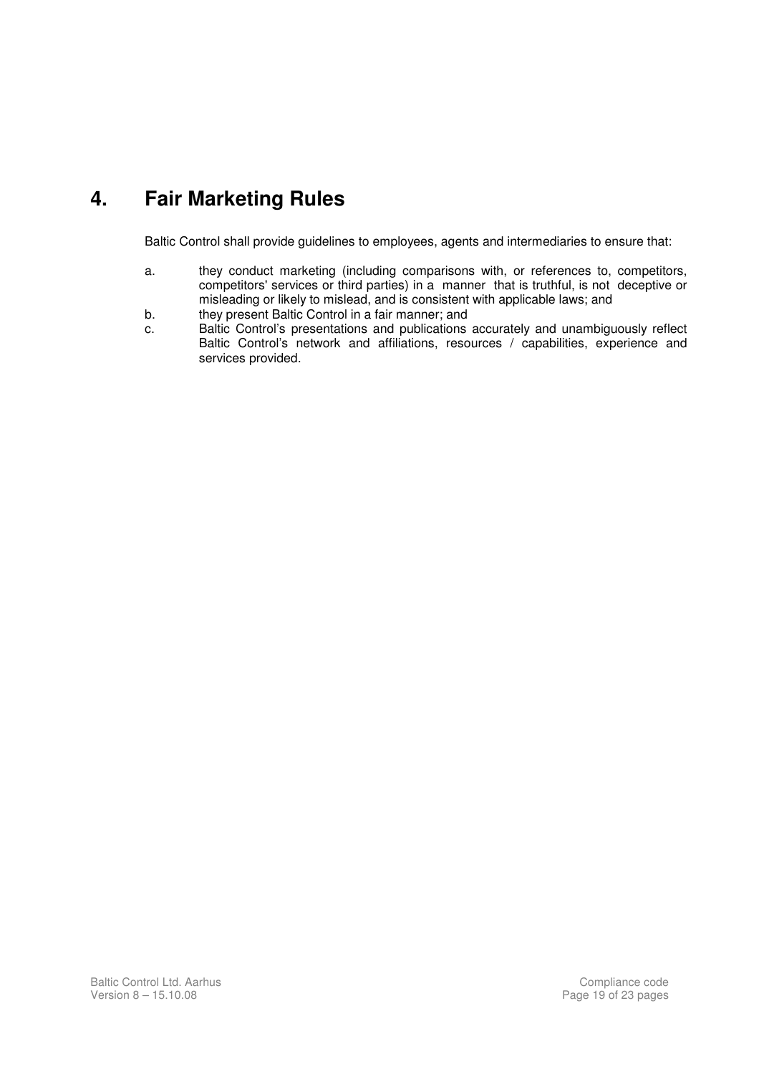# **4. Fair Marketing Rules**

Baltic Control shall provide guidelines to employees, agents and intermediaries to ensure that:

- a. they conduct marketing (including comparisons with, or references to, competitors, competitors' services or third parties) in a manner that is truthful, is not deceptive or misleading or likely to mislead, and is consistent with applicable laws; and
- b. they present Baltic Control in a fair manner; and
- c. Baltic Control's presentations and publications accurately and unambiguously reflect Baltic Control's network and affiliations, resources / capabilities, experience and services provided.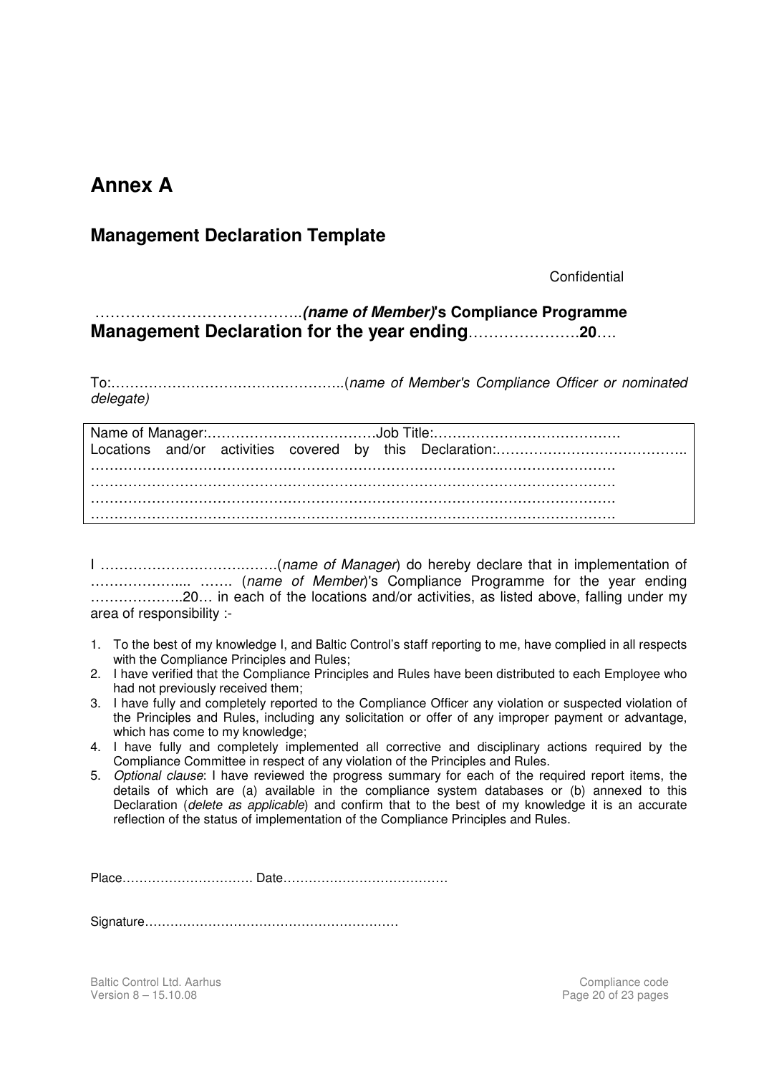### **Annex A**

### **Management Declaration Template**

**Confidential** 

 …………………………………..**(name of Member)'s Compliance Programme Management Declaration for the year ending**………………….**20**….

To:…………………………………………..(name of Member's Compliance Officer or nominated delegate)

I ………………………….…….(name of Manager) do hereby declare that in implementation of ……………….... ……. (name of Member)'s Compliance Programme for the year ending ………………..20… in each of the locations and/or activities, as listed above, falling under my area of responsibility :-

- 1. To the best of my knowledge I, and Baltic Control's staff reporting to me, have complied in all respects with the Compliance Principles and Rules;
- 2. I have verified that the Compliance Principles and Rules have been distributed to each Employee who had not previously received them;
- 3. I have fully and completely reported to the Compliance Officer any violation or suspected violation of the Principles and Rules, including any solicitation or offer of any improper payment or advantage, which has come to my knowledge;
- 4. I have fully and completely implemented all corrective and disciplinary actions required by the Compliance Committee in respect of any violation of the Principles and Rules.
- 5. Optional clause: I have reviewed the progress summary for each of the required report items, the details of which are (a) available in the compliance system databases or (b) annexed to this Declaration (*delete as applicable*) and confirm that to the best of my knowledge it is an accurate reflection of the status of implementation of the Compliance Principles and Rules.

Place…………………………. Date…………………………………

Signature……………………………………………………

Baltic Control Ltd. Aarhus **Compliance code Compliance code Compliance code Compliance code** Version 8 – 15.10.08 Page 20 of 23 pages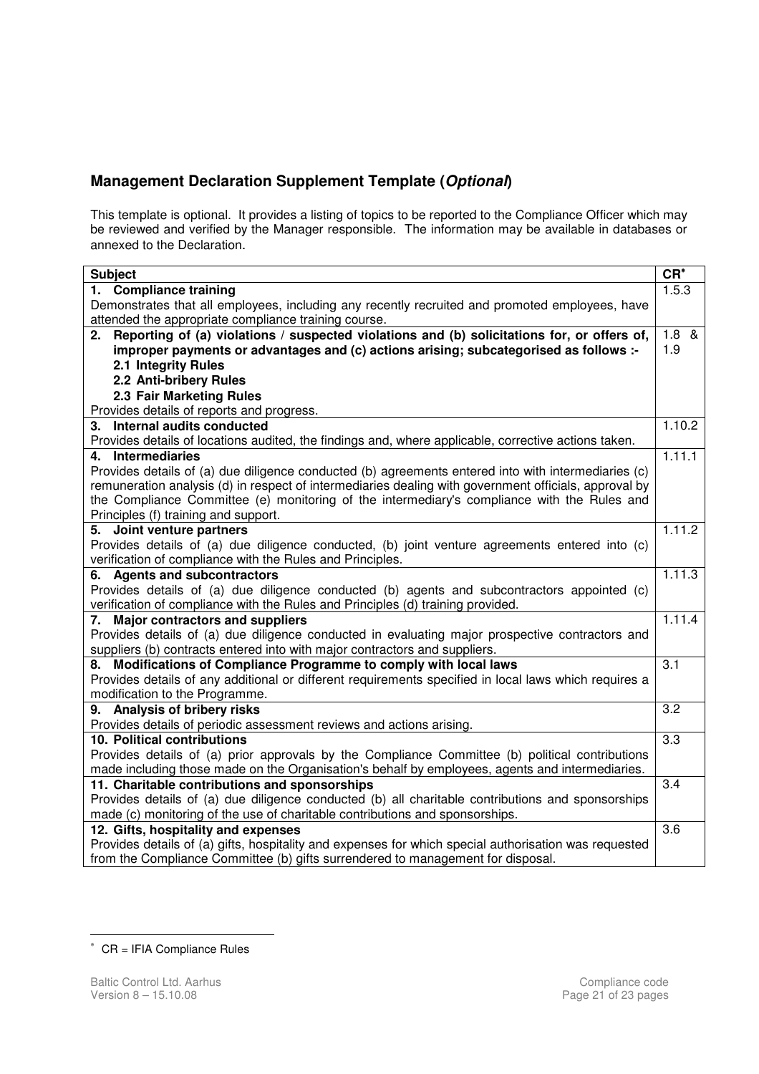#### **Management Declaration Supplement Template (Optional)**

This template is optional. It provides a listing of topics to be reported to the Compliance Officer which may be reviewed and verified by the Manager responsible. The information may be available in databases or annexed to the Declaration.

| $CR^*$<br><b>Subject</b>                                                                              |                  |  |  |
|-------------------------------------------------------------------------------------------------------|------------------|--|--|
| 1. Compliance training                                                                                | 1.5.3            |  |  |
| Demonstrates that all employees, including any recently recruited and promoted employees, have        |                  |  |  |
| attended the appropriate compliance training course.                                                  |                  |  |  |
| Reporting of (a) violations / suspected violations and (b) solicitations for, or offers of,<br>2.     | $1.8 \&$         |  |  |
| improper payments or advantages and (c) actions arising; subcategorised as follows :-                 | 1.9              |  |  |
| 2.1 Integrity Rules                                                                                   |                  |  |  |
| 2.2 Anti-bribery Rules                                                                                |                  |  |  |
| 2.3 Fair Marketing Rules                                                                              |                  |  |  |
| Provides details of reports and progress.                                                             |                  |  |  |
| 3. Internal audits conducted                                                                          | 1.10.2           |  |  |
| Provides details of locations audited, the findings and, where applicable, corrective actions taken.  |                  |  |  |
| 4. Intermediaries                                                                                     | 1.11.1           |  |  |
| Provides details of (a) due diligence conducted (b) agreements entered into with intermediaries (c)   |                  |  |  |
| remuneration analysis (d) in respect of intermediaries dealing with government officials, approval by |                  |  |  |
| the Compliance Committee (e) monitoring of the intermediary's compliance with the Rules and           |                  |  |  |
| Principles (f) training and support.                                                                  |                  |  |  |
| 5. Joint venture partners                                                                             | 1.11.2           |  |  |
| Provides details of (a) due diligence conducted, (b) joint venture agreements entered into (c)        |                  |  |  |
| verification of compliance with the Rules and Principles.                                             |                  |  |  |
| 6. Agents and subcontractors                                                                          | 1.11.3           |  |  |
| Provides details of (a) due diligence conducted (b) agents and subcontractors appointed (c)           |                  |  |  |
| verification of compliance with the Rules and Principles (d) training provided.                       |                  |  |  |
| 7. Major contractors and suppliers                                                                    | 1.11.4           |  |  |
| Provides details of (a) due diligence conducted in evaluating major prospective contractors and       |                  |  |  |
| suppliers (b) contracts entered into with major contractors and suppliers.                            |                  |  |  |
| 8. Modifications of Compliance Programme to comply with local laws                                    | $\overline{3.1}$ |  |  |
| Provides details of any additional or different requirements specified in local laws which requires a |                  |  |  |
| modification to the Programme.                                                                        |                  |  |  |
| 9. Analysis of bribery risks                                                                          | 3.2              |  |  |
| Provides details of periodic assessment reviews and actions arising.                                  |                  |  |  |
| 10. Political contributions                                                                           | $\overline{3.3}$ |  |  |
| Provides details of (a) prior approvals by the Compliance Committee (b) political contributions       |                  |  |  |
| made including those made on the Organisation's behalf by employees, agents and intermediaries.       |                  |  |  |
| 11. Charitable contributions and sponsorships                                                         | 3.4              |  |  |
| Provides details of (a) due diligence conducted (b) all charitable contributions and sponsorships     |                  |  |  |
| made (c) monitoring of the use of charitable contributions and sponsorships.                          |                  |  |  |
| 12. Gifts, hospitality and expenses                                                                   |                  |  |  |
| Provides details of (a) gifts, hospitality and expenses for which special authorisation was requested |                  |  |  |
| from the Compliance Committee (b) gifts surrendered to management for disposal.                       |                  |  |  |

<sup>∗</sup> CR = IFIA Compliance Rules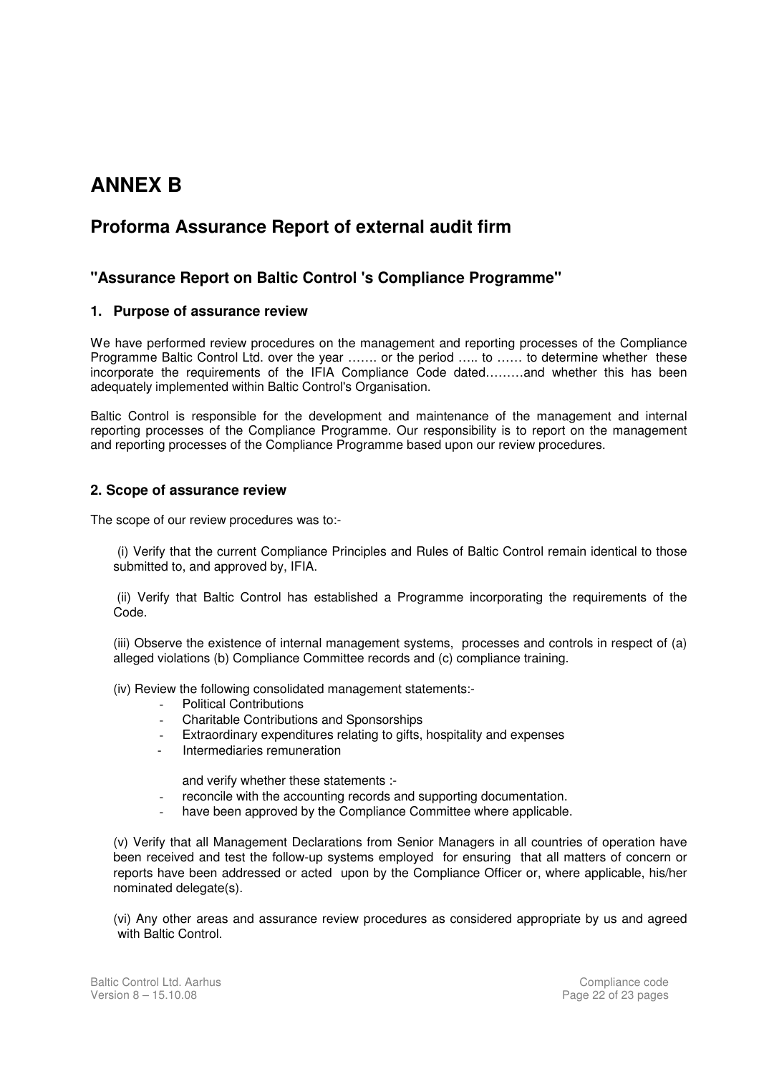## **ANNEX B**

### **Proforma Assurance Report of external audit firm**

#### **"Assurance Report on Baltic Control 's Compliance Programme"**

#### **1. Purpose of assurance review**

We have performed review procedures on the management and reporting processes of the Compliance Programme Baltic Control Ltd. over the year ……. or the period ….. to …… to determine whether these incorporate the requirements of the IFIA Compliance Code dated………and whether this has been adequately implemented within Baltic Control's Organisation.

Baltic Control is responsible for the development and maintenance of the management and internal reporting processes of the Compliance Programme. Our responsibility is to report on the management and reporting processes of the Compliance Programme based upon our review procedures.

#### **2. Scope of assurance review**

The scope of our review procedures was to:-

(i) Verify that the current Compliance Principles and Rules of Baltic Control remain identical to those submitted to, and approved by, IFIA.

 (ii) Verify that Baltic Control has established a Programme incorporating the requirements of the Code.

(iii) Observe the existence of internal management systems, processes and controls in respect of (a) alleged violations (b) Compliance Committee records and (c) compliance training.

(iv) Review the following consolidated management statements:-

- Political Contributions
- Charitable Contributions and Sponsorships
- Extraordinary expenditures relating to gifts, hospitality and expenses
- Intermediaries remuneration

and verify whether these statements :-

- reconcile with the accounting records and supporting documentation.
- have been approved by the Compliance Committee where applicable.

(v) Verify that all Management Declarations from Senior Managers in all countries of operation have been received and test the follow-up systems employed for ensuring that all matters of concern or reports have been addressed or acted upon by the Compliance Officer or, where applicable, his/her nominated delegate(s).

(vi) Any other areas and assurance review procedures as considered appropriate by us and agreed with Baltic Control.